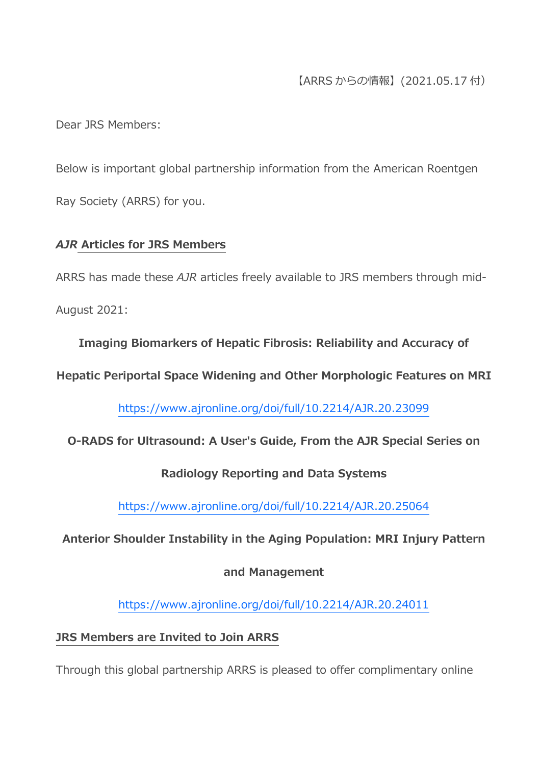# 【ARRS からの情報】(2021.05.17 付)

Dear JRS Members:

Below is important global partnership information from the American Roentgen Ray Society (ARRS) for you.

## *AJR* **Articles for JRS Members**

ARRS has made these *AJR* articles freely available to JRS members through mid-

August 2021:

**Imaging Biomarkers of Hepatic Fibrosis: Reliability and Accuracy of** 

**Hepatic Periportal Space Widening and Other Morphologic Features on MRI**

<https://www.ajronline.org/doi/full/10.2214/AJR.20.23099>

**O-RADS for Ultrasound: A User's Guide, From the AJR Special Series on** 

## **Radiology Reporting and Data Systems**

<https://www.ajronline.org/doi/full/10.2214/AJR.20.25064>

**Anterior Shoulder Instability in the Aging Population: MRI Injury Pattern** 

## **and Management**

<https://www.ajronline.org/doi/full/10.2214/AJR.20.24011>

## **JRS Members are Invited to Join ARRS**

Through this global partnership ARRS is pleased to offer complimentary online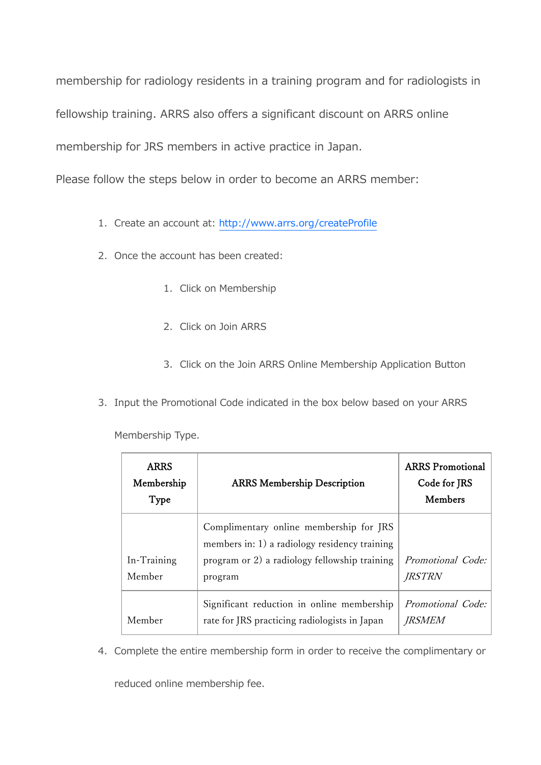membership for radiology residents in a training program and for radiologists in fellowship training. ARRS also offers a significant discount on ARRS online membership for JRS members in active practice in Japan.

Please follow the steps below in order to become an ARRS member:

- 1. Create an account at: <http://www.arrs.org/createProfile>
- 2. Once the account has been created:
	- 1. Click on Membership
	- 2. Click on Join ARRS
	- 3. Click on the Join ARRS Online Membership Application Button
- 3. Input the Promotional Code indicated in the box below based on your ARRS

Membership Type.

| <b>ARRS</b><br>Membership<br>Type | <b>ARRS Membership Description</b>                                                                                                                   | <b>ARRS</b> Promotional<br>Code for JRS<br>Members |
|-----------------------------------|------------------------------------------------------------------------------------------------------------------------------------------------------|----------------------------------------------------|
| In-Training<br>Member             | Complimentary online membership for JRS<br>members in: 1) a radiology residency training<br>program or 2) a radiology fellowship training<br>program | Promotional Code:<br><i>JRSTRN</i>                 |
| Member                            | Significant reduction in online membership<br>rate for JRS practicing radiologists in Japan                                                          | Promotional Code:<br><i>IRSMEM</i>                 |

4. Complete the entire membership form in order to receive the complimentary or

reduced online membership fee.